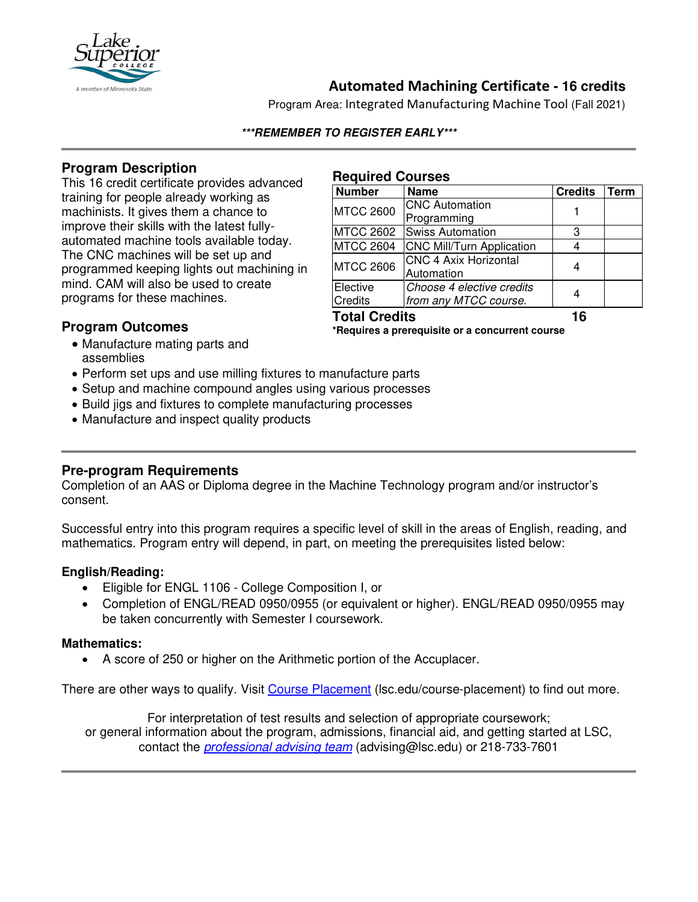

# **Automated Machining Certificate - 16 credits**

Program Area: Integrated Manufacturing Machine Tool (Fall 2021)

#### **\*\*\*REMEMBER TO REGISTER EARLY\*\*\***

## **Program Description**

This 16 credit certificate provides advanced training for people already working as machinists. It gives them a chance to improve their skills with the latest fullyautomated machine tools available today. The CNC machines will be set up and programmed keeping lights out machining in mind. CAM will also be used to create programs for these machines.

#### **Required Courses**

| <b>Number</b>        | <b>Name</b>                      | <b>Credits</b> | Term |
|----------------------|----------------------------------|----------------|------|
| <b>MTCC 2600</b>     | <b>CNC Automation</b>            |                |      |
|                      | Programming                      |                |      |
| <b>MTCC 2602</b>     | <b>Swiss Automation</b>          | З              |      |
| <b>MTCC 2604</b>     | <b>CNC Mill/Turn Application</b> |                |      |
| <b>MTCC 2606</b>     | <b>CNC 4 Axix Horizontal</b>     |                |      |
|                      | Automation                       |                |      |
| Elective             | Choose 4 elective credits        |                |      |
| <b>Credits</b>       | from any MTCC course.            |                |      |
| <b>Total Credits</b> |                                  | 16             |      |

## **Program Outcomes**

**\*Requires a prerequisite or a concurrent course**

- Manufacture mating parts and assemblies
- Perform set ups and use milling fixtures to manufacture parts
- Setup and machine compound angles using various processes
- Build jigs and fixtures to complete manufacturing processes
- Manufacture and inspect quality products

## **Pre-program Requirements**

Completion of an AAS or Diploma degree in the Machine Technology program and/or instructor's consent.

Successful entry into this program requires a specific level of skill in the areas of English, reading, and mathematics. Program entry will depend, in part, on meeting the prerequisites listed below:

### **English/Reading:**

- Eligible for ENGL 1106 College Composition I, or
- Completion of ENGL/READ 0950/0955 (or equivalent or higher). ENGL/READ 0950/0955 may be taken concurrently with Semester I coursework.

### **Mathematics:**

• A score of 250 or higher on the Arithmetic portion of the Accuplacer.

There are other ways to qualify. Visit [Course Placement](https://www.lsc.edu/course-placement/) (Isc.edu/course-placement) to find out more.

For interpretation of test results and selection of appropriate coursework; or general information about the program, admissions, financial aid, and getting started at LSC, contact the *[professional advising team](mailto:advising@lsc.edu)* (advising@lsc.edu) or 218-733-7601